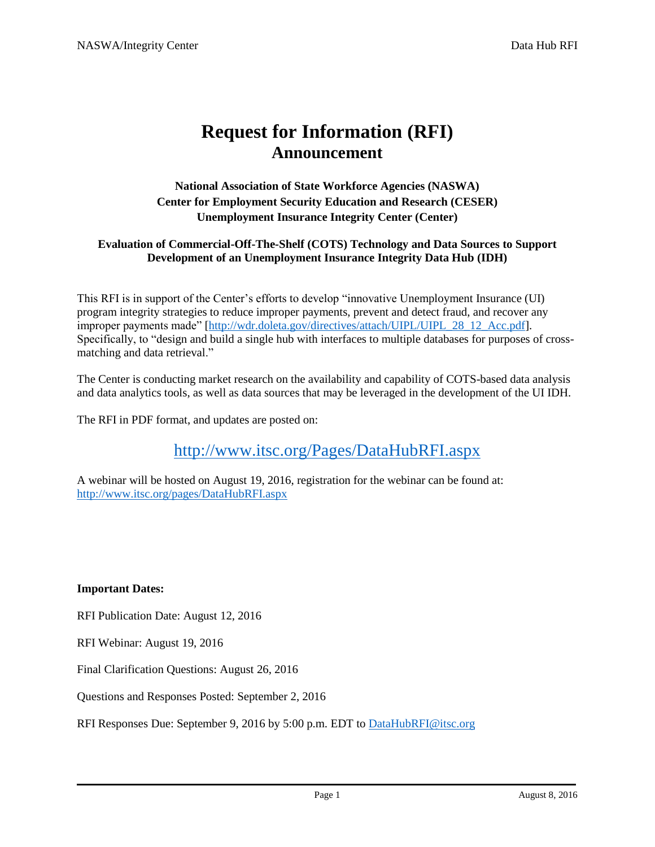# **Request for Information (RFI) Announcement**

**National Association of State Workforce Agencies (NASWA) Center for Employment Security Education and Research (CESER) Unemployment Insurance Integrity Center (Center)**

#### **Evaluation of Commercial-Off-The-Shelf (COTS) Technology and Data Sources to Support Development of an Unemployment Insurance Integrity Data Hub (IDH)**

This RFI is in support of the Center's efforts to develop "innovative Unemployment Insurance (UI) program integrity strategies to reduce improper payments, prevent and detect fraud, and recover any improper payments made" [\[http://wdr.doleta.gov/directives/attach/UIPL/UIPL\\_28\\_12\\_Acc.pdf\]](http://wdr.doleta.gov/directives/attach/UIPL/UIPL_28_12_Acc.pdf). Specifically, to "design and build a single hub with interfaces to multiple databases for purposes of crossmatching and data retrieval."

The Center is conducting market research on the availability and capability of COTS-based data analysis and data analytics tools, as well as data sources that may be leveraged in the development of the UI IDH.

The RFI in PDF format, and updates are posted on:

<http://www.itsc.org/Pages/DataHubRFI.aspx>

A webinar will be hosted on August 19, 2016, registration for the webinar can be found at: <http://www.itsc.org/pages/DataHubRFI.aspx>

**Important Dates:**

RFI Publication Date: August 12, 2016

RFI Webinar: August 19, 2016

Final Clarification Questions: August 26, 2016

Questions and Responses Posted: September 2, 2016

RFI Responses Due: September 9, 2016 by 5:00 p.m. EDT to [DataHubRFI@itsc.org](mailto:DataHubRFI@itsc.org)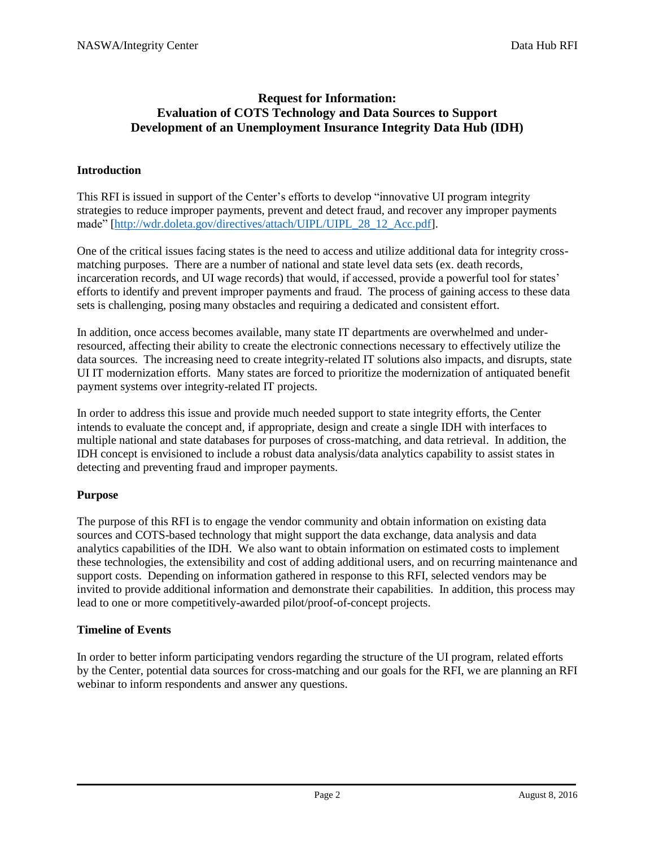## **Request for Information: Evaluation of COTS Technology and Data Sources to Support Development of an Unemployment Insurance Integrity Data Hub (IDH)**

## **Introduction**

This RFI is issued in support of the Center's efforts to develop "innovative UI program integrity strategies to reduce improper payments, prevent and detect fraud, and recover any improper payments made" [\[http://wdr.doleta.gov/directives/attach/UIPL/UIPL\\_28\\_12\\_Acc.pdf\]](http://wdr.doleta.gov/directives/attach/UIPL/UIPL_28_12_Acc.pdf).

One of the critical issues facing states is the need to access and utilize additional data for integrity crossmatching purposes. There are a number of national and state level data sets (ex. death records, incarceration records, and UI wage records) that would, if accessed, provide a powerful tool for states' efforts to identify and prevent improper payments and fraud. The process of gaining access to these data sets is challenging, posing many obstacles and requiring a dedicated and consistent effort.

In addition, once access becomes available, many state IT departments are overwhelmed and underresourced, affecting their ability to create the electronic connections necessary to effectively utilize the data sources. The increasing need to create integrity-related IT solutions also impacts, and disrupts, state UI IT modernization efforts. Many states are forced to prioritize the modernization of antiquated benefit payment systems over integrity-related IT projects.

In order to address this issue and provide much needed support to state integrity efforts, the Center intends to evaluate the concept and, if appropriate, design and create a single IDH with interfaces to multiple national and state databases for purposes of cross-matching, and data retrieval. In addition, the IDH concept is envisioned to include a robust data analysis/data analytics capability to assist states in detecting and preventing fraud and improper payments.

## **Purpose**

The purpose of this RFI is to engage the vendor community and obtain information on existing data sources and COTS-based technology that might support the data exchange, data analysis and data analytics capabilities of the IDH. We also want to obtain information on estimated costs to implement these technologies, the extensibility and cost of adding additional users, and on recurring maintenance and support costs. Depending on information gathered in response to this RFI, selected vendors may be invited to provide additional information and demonstrate their capabilities. In addition, this process may lead to one or more competitively-awarded pilot/proof-of-concept projects.

## **Timeline of Events**

In order to better inform participating vendors regarding the structure of the UI program, related efforts by the Center, potential data sources for cross-matching and our goals for the RFI, we are planning an RFI webinar to inform respondents and answer any questions.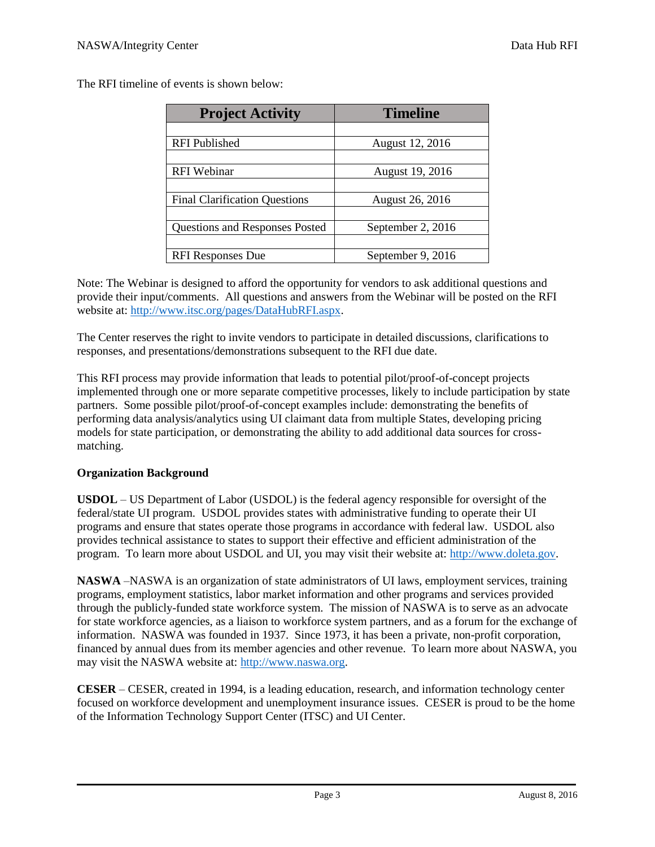The RFI timeline of events is shown below:

| <b>Project Activity</b>               | <b>Timeline</b>   |
|---------------------------------------|-------------------|
|                                       |                   |
| <b>RFI</b> Published                  | August 12, 2016   |
|                                       |                   |
| <b>RFI</b> Webinar                    | August 19, 2016   |
|                                       |                   |
| <b>Final Clarification Questions</b>  | August 26, 2016   |
|                                       |                   |
| <b>Questions and Responses Posted</b> | September 2, 2016 |
|                                       |                   |
| <b>RFI Responses Due</b>              | September 9, 2016 |

Note: The Webinar is designed to afford the opportunity for vendors to ask additional questions and provide their input/comments. All questions and answers from the Webinar will be posted on the RFI website at: [http://www.itsc.org/pages/DataHubRFI.aspx.](http://www.itsc.org/pages/DataHubRFI.aspx)

The Center reserves the right to invite vendors to participate in detailed discussions, clarifications to responses, and presentations/demonstrations subsequent to the RFI due date.

This RFI process may provide information that leads to potential pilot/proof-of-concept projects implemented through one or more separate competitive processes, likely to include participation by state partners. Some possible pilot/proof-of-concept examples include: demonstrating the benefits of performing data analysis/analytics using UI claimant data from multiple States, developing pricing models for state participation, or demonstrating the ability to add additional data sources for crossmatching.

## **Organization Background**

**USDOL** – US Department of Labor (USDOL) is the federal agency responsible for oversight of the federal/state UI program. USDOL provides states with administrative funding to operate their UI programs and ensure that states operate those programs in accordance with federal law. USDOL also provides technical assistance to states to support their effective and efficient administration of the program. To learn more about USDOL and UI, you may visit their website at: [http://www.doleta.gov.](http://www.doleta.gov/)

**NASWA** –NASWA is an organization of state administrators of UI laws, employment services, training programs, employment statistics, labor market information and other programs and services provided through the publicly-funded state workforce system. The mission of NASWA is to serve as an advocate for state workforce agencies, as a liaison to workforce system partners, and as a forum for the exchange of information. NASWA was founded in 1937. Since 1973, it has been a private, non-profit corporation, financed by annual dues from its member agencies and other revenue. To learn more about NASWA, you may visit the NASWA website at[: http://www.naswa.org.](http://www.naswa.org/)

**CESER** – CESER, created in 1994, is a leading education, research, and information technology center focused on workforce development and unemployment insurance issues. CESER is proud to be the home of the Information Technology Support Center (ITSC) and UI Center.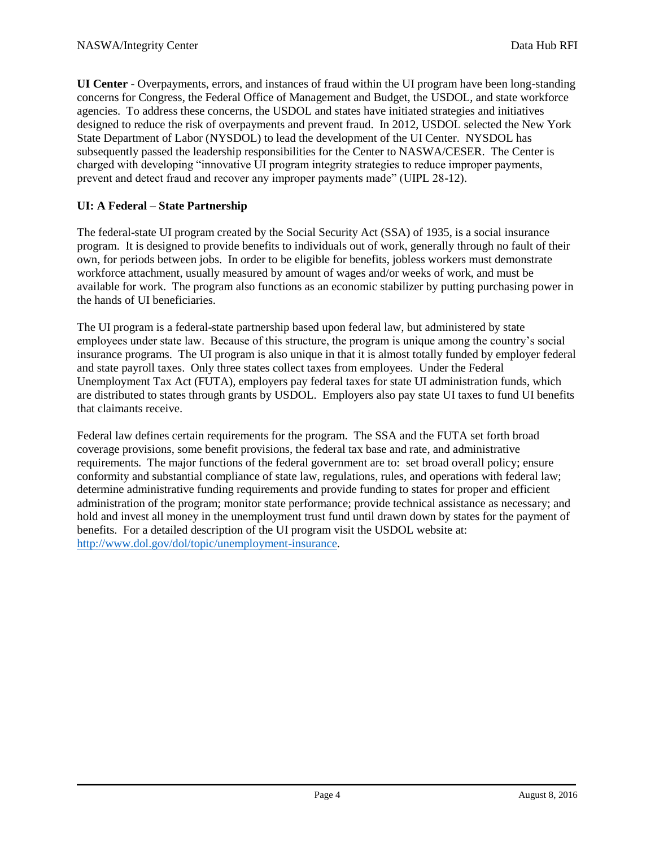**UI Center** - Overpayments, errors, and instances of fraud within the UI program have been long-standing concerns for Congress, the Federal Office of Management and Budget, the USDOL, and state workforce agencies. To address these concerns, the USDOL and states have initiated strategies and initiatives designed to reduce the risk of overpayments and prevent fraud. In 2012, USDOL selected the New York State Department of Labor (NYSDOL) to lead the development of the UI Center. NYSDOL has subsequently passed the leadership responsibilities for the Center to NASWA/CESER. The Center is charged with developing "innovative UI program integrity strategies to reduce improper payments, prevent and detect fraud and recover any improper payments made" (UIPL 28-12).

# **UI: A Federal – State Partnership**

The federal-state UI program created by the Social Security Act (SSA) of 1935, is a social insurance program. It is designed to provide benefits to individuals out of work, generally through no fault of their own, for periods between jobs. In order to be eligible for benefits, jobless workers must demonstrate workforce attachment, usually measured by amount of wages and/or weeks of work, and must be available for work. The program also functions as an economic stabilizer by putting purchasing power in the hands of UI beneficiaries.

The UI program is a federal-state partnership based upon federal law, but administered by state employees under state law. Because of this structure, the program is unique among the country's social insurance programs. The UI program is also unique in that it is almost totally funded by employer federal and state payroll taxes. Only three states collect taxes from employees. Under the Federal Unemployment Tax Act (FUTA), employers pay federal taxes for state UI administration funds, which are distributed to states through grants by USDOL. Employers also pay state UI taxes to fund UI benefits that claimants receive.

Federal law defines certain requirements for the program. The SSA and the FUTA set forth broad coverage provisions, some benefit provisions, the federal tax base and rate, and administrative requirements. The major functions of the federal government are to: set broad overall policy; ensure conformity and substantial compliance of state law, regulations, rules, and operations with federal law; determine administrative funding requirements and provide funding to states for proper and efficient administration of the program; monitor state performance; provide technical assistance as necessary; and hold and invest all money in the unemployment trust fund until drawn down by states for the payment of benefits. For a detailed description of the UI program visit the USDOL website at: [http://www.dol.gov/dol/topic/unemployment-insurance.](http://www.dol.gov/dol/topic/unemployment-insurance)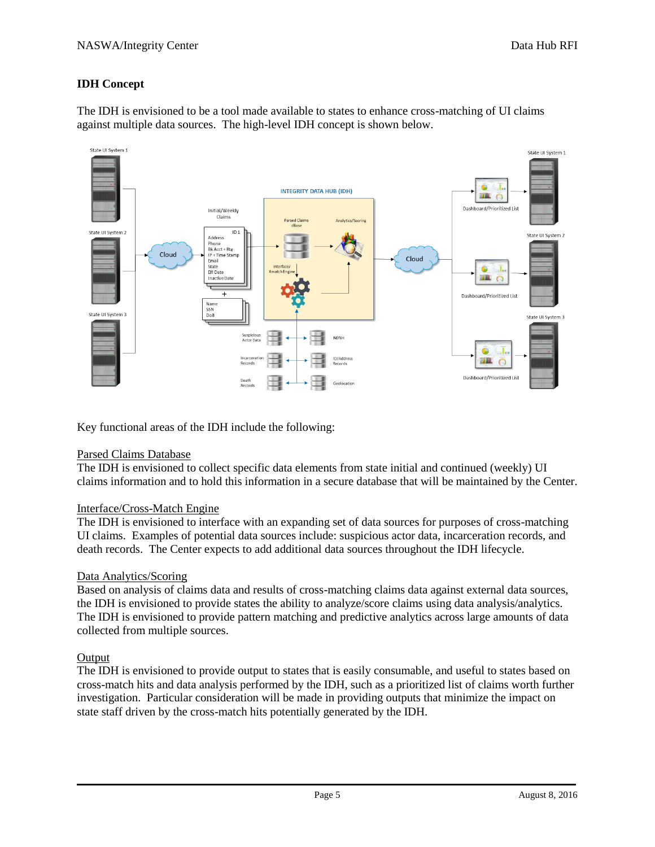# **IDH Concept**

The IDH is envisioned to be a tool made available to states to enhance cross-matching of UI claims against multiple data sources. The high-level IDH concept is shown below.



Key functional areas of the IDH include the following:

## Parsed Claims Database

The IDH is envisioned to collect specific data elements from state initial and continued (weekly) UI claims information and to hold this information in a secure database that will be maintained by the Center.

## Interface/Cross-Match Engine

The IDH is envisioned to interface with an expanding set of data sources for purposes of cross-matching UI claims. Examples of potential data sources include: suspicious actor data, incarceration records, and death records. The Center expects to add additional data sources throughout the IDH lifecycle.

## Data Analytics/Scoring

Based on analysis of claims data and results of cross-matching claims data against external data sources, the IDH is envisioned to provide states the ability to analyze/score claims using data analysis/analytics. The IDH is envisioned to provide pattern matching and predictive analytics across large amounts of data collected from multiple sources.

## **Output**

The IDH is envisioned to provide output to states that is easily consumable, and useful to states based on cross-match hits and data analysis performed by the IDH, such as a prioritized list of claims worth further investigation. Particular consideration will be made in providing outputs that minimize the impact on state staff driven by the cross-match hits potentially generated by the IDH.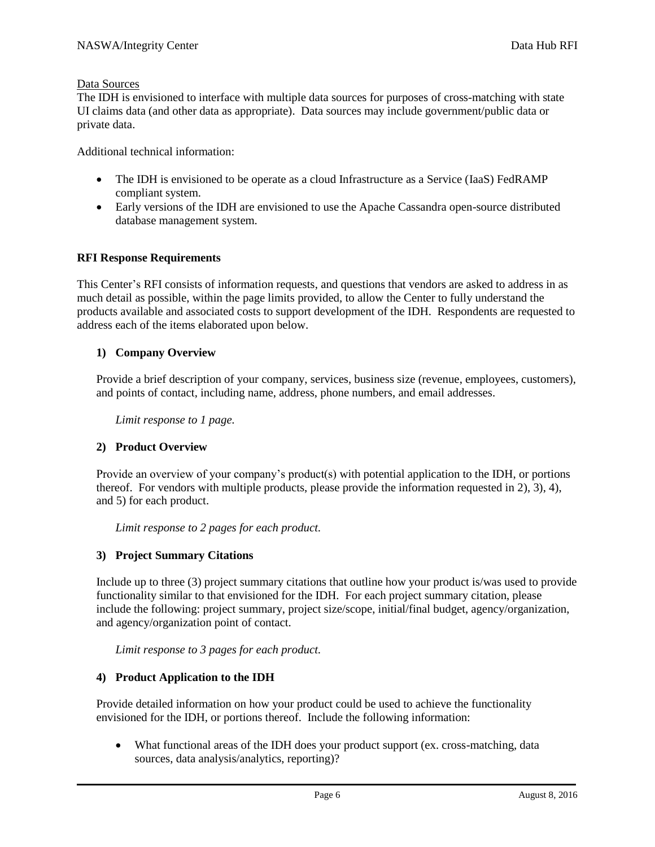## Data Sources

The IDH is envisioned to interface with multiple data sources for purposes of cross-matching with state UI claims data (and other data as appropriate). Data sources may include government/public data or private data.

Additional technical information:

- The IDH is envisioned to be operate as a cloud Infrastructure as a Service (IaaS) FedRAMP compliant system.
- Early versions of the IDH are envisioned to use the Apache Cassandra open-source distributed database management system.

#### **RFI Response Requirements**

This Center's RFI consists of information requests, and questions that vendors are asked to address in as much detail as possible, within the page limits provided, to allow the Center to fully understand the products available and associated costs to support development of the IDH. Respondents are requested to address each of the items elaborated upon below.

#### **1) Company Overview**

Provide a brief description of your company, services, business size (revenue, employees, customers), and points of contact, including name, address, phone numbers, and email addresses.

*Limit response to 1 page.*

## **2) Product Overview**

Provide an overview of your company's product(s) with potential application to the IDH, or portions thereof. For vendors with multiple products, please provide the information requested in 2), 3), 4), and 5) for each product.

*Limit response to 2 pages for each product.*

## **3) Project Summary Citations**

Include up to three (3) project summary citations that outline how your product is/was used to provide functionality similar to that envisioned for the IDH. For each project summary citation, please include the following: project summary, project size/scope, initial/final budget, agency/organization, and agency/organization point of contact.

*Limit response to 3 pages for each product.*

## **4) Product Application to the IDH**

Provide detailed information on how your product could be used to achieve the functionality envisioned for the IDH, or portions thereof. Include the following information:

 What functional areas of the IDH does your product support (ex. cross-matching, data sources, data analysis/analytics, reporting)?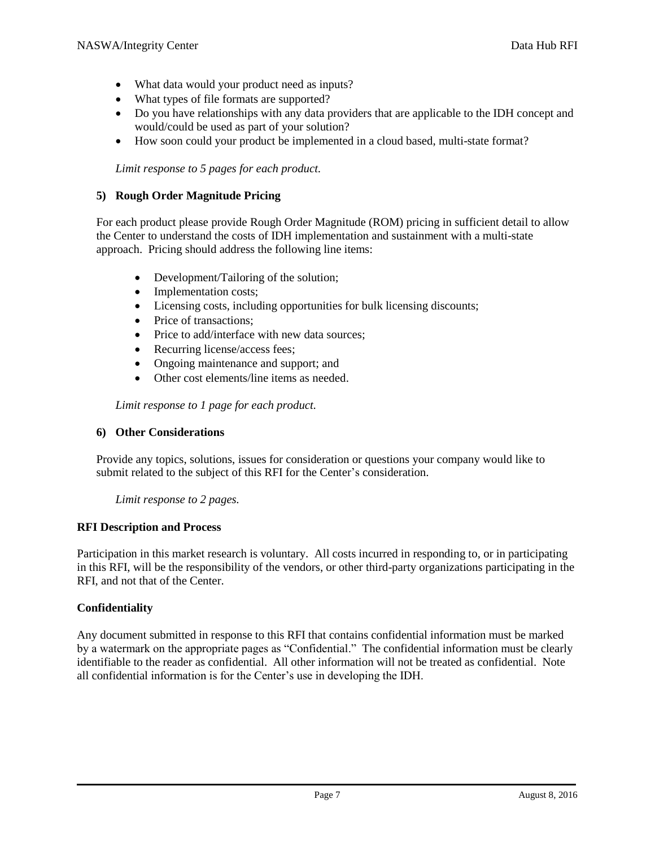- What data would your product need as inputs?
- What types of file formats are supported?
- Do you have relationships with any data providers that are applicable to the IDH concept and would/could be used as part of your solution?
- How soon could your product be implemented in a cloud based, multi-state format?

*Limit response to 5 pages for each product.*

#### **5) Rough Order Magnitude Pricing**

For each product please provide Rough Order Magnitude (ROM) pricing in sufficient detail to allow the Center to understand the costs of IDH implementation and sustainment with a multi-state approach. Pricing should address the following line items:

- Development/Tailoring of the solution;
- Implementation costs;
- Licensing costs, including opportunities for bulk licensing discounts;
- Price of transactions:
- Price to add/interface with new data sources;
- Recurring license/access fees:
- Ongoing maintenance and support; and
- Other cost elements/line items as needed.

*Limit response to 1 page for each product.*

## **6) Other Considerations**

Provide any topics, solutions, issues for consideration or questions your company would like to submit related to the subject of this RFI for the Center's consideration.

*Limit response to 2 pages.*

## **RFI Description and Process**

Participation in this market research is voluntary. All costs incurred in responding to, or in participating in this RFI, will be the responsibility of the vendors, or other third-party organizations participating in the RFI, and not that of the Center.

## **Confidentiality**

Any document submitted in response to this RFI that contains confidential information must be marked by a watermark on the appropriate pages as "Confidential." The confidential information must be clearly identifiable to the reader as confidential. All other information will not be treated as confidential. Note all confidential information is for the Center's use in developing the IDH.